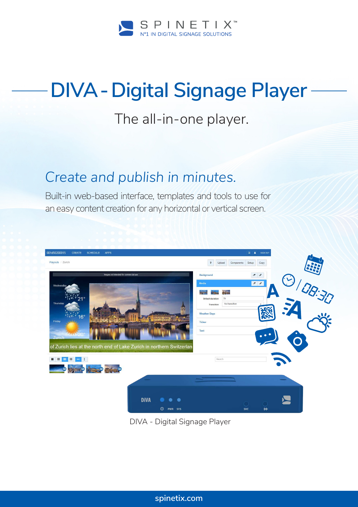

## **DIVA - Digital Signage Player**

## The all-in-one player.

## *Create and publish in minutes.*

Built-in web-based interface, templates and tools to use for an easy content creation for any horizontal or vertical screen.